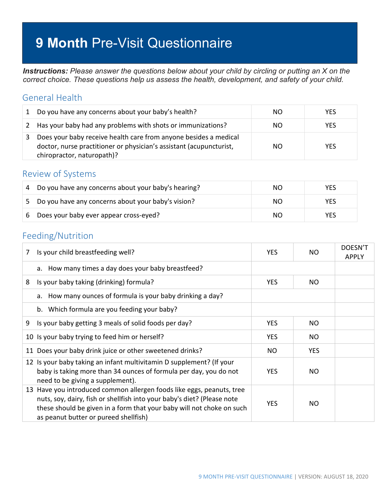# **9 Month** Pre-Visit Questionnaire

*Instructions: Please answer the questions below about your child by circling or putting an X on the correct choice. These questions help us assess the health, development, and safety of your child.*

### General Health

| 1 | Do you have any concerns about your baby's health?                                                                                                                    | NO. | <b>YES</b> |
|---|-----------------------------------------------------------------------------------------------------------------------------------------------------------------------|-----|------------|
| 2 | Has your baby had any problems with shots or immunizations?                                                                                                           | NO. | <b>YES</b> |
|   | Does your baby receive health care from anyone besides a medical<br>doctor, nurse practitioner or physician's assistant (acupuncturist,<br>chiropractor, naturopath)? | NO. | <b>YES</b> |

#### Review of Systems

| 4   | Do you have any concerns about your baby's hearing? | NO. | <b>YES</b> |
|-----|-----------------------------------------------------|-----|------------|
| .5. | Do you have any concerns about your baby's vision?  | NO. | <b>YES</b> |
| -6  | Does your baby ever appear cross-eyed?              | NO. | <b>YES</b> |

#### Feeding/Nutrition

| 7 | Is your child breastfeeding well?                                                                                                                                                                                                                                  | <b>YES</b> | NO.        | DOESN'T<br><b>APPLY</b> |
|---|--------------------------------------------------------------------------------------------------------------------------------------------------------------------------------------------------------------------------------------------------------------------|------------|------------|-------------------------|
|   | How many times a day does your baby breastfeed?<br>a.                                                                                                                                                                                                              |            |            |                         |
| 8 | Is your baby taking (drinking) formula?                                                                                                                                                                                                                            | <b>YES</b> | NO.        |                         |
|   | How many ounces of formula is your baby drinking a day?<br>a.                                                                                                                                                                                                      |            |            |                         |
|   | b. Which formula are you feeding your baby?                                                                                                                                                                                                                        |            |            |                         |
| 9 | Is your baby getting 3 meals of solid foods per day?                                                                                                                                                                                                               | <b>YES</b> | NO.        |                         |
|   | 10 Is your baby trying to feed him or herself?                                                                                                                                                                                                                     | <b>YES</b> | NO.        |                         |
|   | 11 Does your baby drink juice or other sweetened drinks?                                                                                                                                                                                                           | <b>NO</b>  | <b>YES</b> |                         |
|   | 12 Is your baby taking an infant multivitamin D supplement? (If your<br>baby is taking more than 34 ounces of formula per day, you do not<br>need to be giving a supplement).                                                                                      | <b>YES</b> | NO.        |                         |
|   | 13 Have you introduced common allergen foods like eggs, peanuts, tree<br>nuts, soy, dairy, fish or shellfish into your baby's diet? (Please note<br>these should be given in a form that your baby will not choke on such<br>as peanut butter or pureed shellfish) | YES.       | NO.        |                         |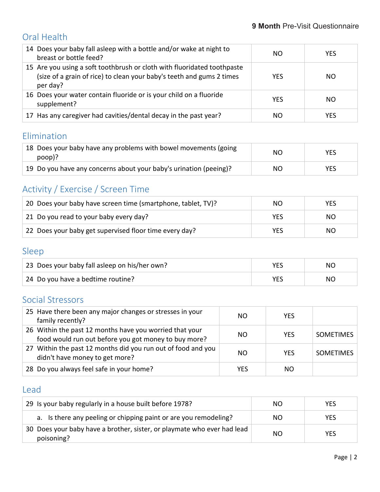## Oral Health

| 14 Does your baby fall asleep with a bottle and/or wake at night to<br>breast or bottle feed?                                                                | NO.        | <b>YES</b> |
|--------------------------------------------------------------------------------------------------------------------------------------------------------------|------------|------------|
| 15 Are you using a soft toothbrush or cloth with fluoridated toothpaste<br>(size of a grain of rice) to clean your baby's teeth and gums 2 times<br>per day? | <b>YES</b> | NO.        |
| 16 Does your water contain fluoride or is your child on a fluoride<br>supplement?                                                                            | <b>YES</b> | NO.        |
| 17 Has any caregiver had cavities/dental decay in the past year?                                                                                             | NO         | <b>YES</b> |

### Elimination

| 18 Does your baby have any problems with bowel movements (going<br>poop)? | NO  | <b>YES</b> |
|---------------------------------------------------------------------------|-----|------------|
| 19 Do you have any concerns about your baby's urination (peeing)?         | NO. | YES.       |

# Activity / Exercise / Screen Time

| 20 Does your baby have screen time (smartphone, tablet, TV)? | NO. | YES. |
|--------------------------------------------------------------|-----|------|
| 21 Do you read to your baby every day?                       | YES | NO.  |
| 22 Does your baby get supervised floor time every day?       | YES | NΟ   |

### Sleep

| 23 Does your baby fall asleep on his/her own? | VEC | NO. |
|-----------------------------------------------|-----|-----|
| 24 Do you have a bedtime routine?             | VEC | ΝO  |

# Social Stressors

| 25 Have there been any major changes or stresses in your<br>family recently?                                    | NO.        | <b>YFS</b> |                  |
|-----------------------------------------------------------------------------------------------------------------|------------|------------|------------------|
| 26 Within the past 12 months have you worried that your<br>food would run out before you got money to buy more? | NO.        | <b>YES</b> | <b>SOMETIMES</b> |
| 27 Within the past 12 months did you run out of food and you<br>didn't have money to get more?                  | NO.        | <b>YFS</b> | <b>SOMETIMES</b> |
| 28 Do you always feel safe in your home?                                                                        | <b>YES</b> | NO.        |                  |

### Lead

| 29 Is your baby regularly in a house built before 1978?                               | NO. | YES        |
|---------------------------------------------------------------------------------------|-----|------------|
| a. Is there any peeling or chipping paint or are you remodeling?                      | NO. | <b>YES</b> |
| 30 Does your baby have a brother, sister, or playmate who ever had lead<br>poisoning? | NO. | <b>YES</b> |